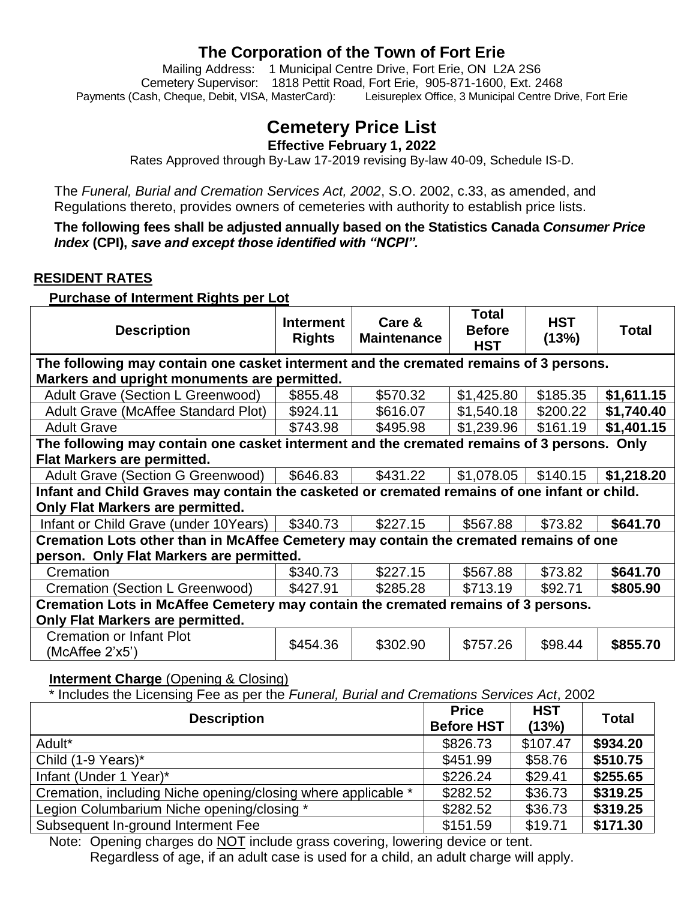### **The Corporation of the Town of Fort Erie**

Mailing Address: 1 Municipal Centre Drive, Fort Erie, ON L2A 2S6 Cemetery Supervisor: 1818 Pettit Road, Fort Erie,905-871-1600, Ext. 2468 Payments (Cash, Cheque, Debit, VISA, MasterCard): Leisureplex Office, 3 Municipal Centre Drive, Fort Erie

# **Cemetery Price List**

**Effective February 1, 2022**

Rates Approved through By-Law 17-2019 revising By-law 40-09, Schedule IS-D.

The *Funeral, Burial and Cremation Services Act, 2002*, S.O. 2002, c.33, as amended, and Regulations thereto, provides owners of cemeteries with authority to establish price lists.

**The following fees shall be adjusted annually based on the Statistics Canada** *Consumer Price Index* **(CPI),** *save and except those identified with "NCPI".*

#### **RESIDENT RATES**

**Purchase of Interment Rights per Lot**

| <b>Description</b>                                                                           | <b>Interment</b><br><b>Rights</b> | Care &<br><b>Maintenance</b> | <b>Total</b><br><b>Before</b><br><b>HST</b> | <b>HST</b><br>(13%) | <b>Total</b> |  |  |
|----------------------------------------------------------------------------------------------|-----------------------------------|------------------------------|---------------------------------------------|---------------------|--------------|--|--|
| The following may contain one casket interment and the cremated remains of 3 persons.        |                                   |                              |                                             |                     |              |  |  |
| Markers and upright monuments are permitted.                                                 |                                   |                              |                                             |                     |              |  |  |
| Adult Grave (Section L Greenwood)                                                            | \$855.48                          | \$570.32                     | \$1,425.80                                  | \$185.35            | \$1,611.15   |  |  |
| <b>Adult Grave (McAffee Standard Plot)</b>                                                   | \$924.11                          | \$616.07                     | \$1,540.18                                  | \$200.22            | \$1,740.40   |  |  |
| <b>Adult Grave</b>                                                                           | \$743.98                          | \$495.98                     | \$1,239.96                                  | \$161.19            | \$1,401.15   |  |  |
| The following may contain one casket interment and the cremated remains of 3 persons. Only   |                                   |                              |                                             |                     |              |  |  |
| <b>Flat Markers are permitted.</b>                                                           |                                   |                              |                                             |                     |              |  |  |
| Adult Grave (Section G Greenwood)                                                            | \$646.83                          | \$431.22                     | \$1,078.05                                  | \$140.15            | \$1,218.20   |  |  |
| Infant and Child Graves may contain the casketed or cremated remains of one infant or child. |                                   |                              |                                             |                     |              |  |  |
| <b>Only Flat Markers are permitted.</b>                                                      |                                   |                              |                                             |                     |              |  |  |
| Infant or Child Grave (under 10Years)                                                        | \$340.73                          | \$227.15                     | \$567.88                                    | \$73.82             | \$641.70     |  |  |
| Cremation Lots other than in McAffee Cemetery may contain the cremated remains of one        |                                   |                              |                                             |                     |              |  |  |
| person. Only Flat Markers are permitted.                                                     |                                   |                              |                                             |                     |              |  |  |
| Cremation                                                                                    | \$340.73                          | \$227.15                     | \$567.88                                    | \$73.82             | \$641.70     |  |  |
| Cremation (Section L Greenwood)                                                              | \$427.91                          | \$285.28                     | \$713.19                                    | \$92.71             | \$805.90     |  |  |
| Cremation Lots in McAffee Cemetery may contain the cremated remains of 3 persons.            |                                   |                              |                                             |                     |              |  |  |
| Only Flat Markers are permitted.                                                             |                                   |                              |                                             |                     |              |  |  |
| <b>Cremation or Infant Plot</b><br>$(Mc)$ (McAffee 2'x5')                                    | \$454.36                          | \$302.90                     | \$757.26                                    | \$98.44             | \$855.70     |  |  |

#### **Interment Charge** (Opening & Closing)

\* Includes the Licensing Fee as per the *Funeral, Burial and Cremations Services Act*, 2002

| <b>Description</b>                                            | <b>Price</b><br><b>Before HST</b> | <b>HST</b><br>(13%) | <b>Total</b> |
|---------------------------------------------------------------|-----------------------------------|---------------------|--------------|
| Adult*                                                        | \$826.73                          | \$107.47            | \$934.20     |
| Child (1-9 Years)*                                            | \$451.99                          | \$58.76             | \$510.75     |
| Infant (Under 1 Year)*                                        | \$226.24                          | \$29.41             | \$255.65     |
| Cremation, including Niche opening/closing where applicable * | \$282.52                          | \$36.73             | \$319.25     |
| Legion Columbarium Niche opening/closing *                    | \$282.52                          | \$36.73             | \$319.25     |
| Subsequent In-ground Interment Fee                            | \$151.59                          | \$19.71             | \$171.30     |

Note: Opening charges do NOT include grass covering, lowering device or tent. Regardless of age, if an adult case is used for a child, an adult charge will apply.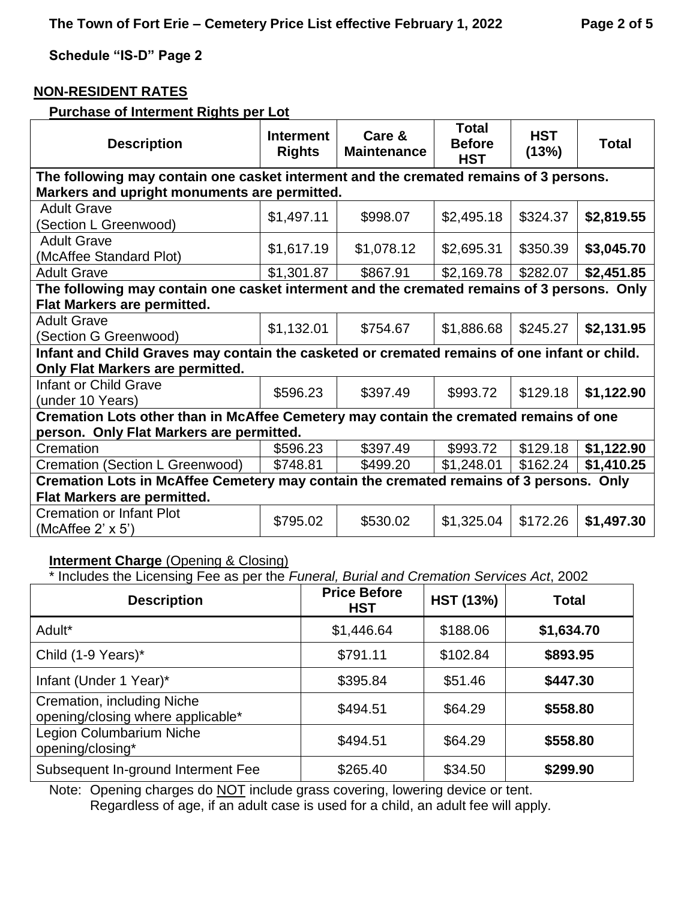#### **NON-RESIDENT RATES**

#### **Purchase of Interment Rights per Lot**

| <b>Description</b>                                                                           | <b>Interment</b><br><b>Rights</b>            | Care &<br><b>Maintenance</b> | <b>Total</b><br><b>Before</b><br><b>HST</b> | <b>HST</b><br>(13%) | <b>Total</b> |  |  |  |
|----------------------------------------------------------------------------------------------|----------------------------------------------|------------------------------|---------------------------------------------|---------------------|--------------|--|--|--|
| The following may contain one casket interment and the cremated remains of 3 persons.        |                                              |                              |                                             |                     |              |  |  |  |
|                                                                                              | Markers and upright monuments are permitted. |                              |                                             |                     |              |  |  |  |
| <b>Adult Grave</b>                                                                           | \$1,497.11                                   | \$998.07                     | \$2,495.18                                  | \$324.37            | \$2,819.55   |  |  |  |
| (Section L Greenwood)                                                                        |                                              |                              |                                             |                     |              |  |  |  |
| <b>Adult Grave</b>                                                                           | \$1,617.19                                   | \$1,078.12                   | \$2,695.31                                  | \$350.39            | \$3,045.70   |  |  |  |
| (McAffee Standard Plot)                                                                      |                                              |                              |                                             |                     |              |  |  |  |
| <b>Adult Grave</b>                                                                           | \$1,301.87                                   | \$867.91                     | \$2,169.78                                  | \$282.07            | \$2,451.85   |  |  |  |
| The following may contain one casket interment and the cremated remains of 3 persons. Only   |                                              |                              |                                             |                     |              |  |  |  |
| <b>Flat Markers are permitted.</b>                                                           |                                              |                              |                                             |                     |              |  |  |  |
| <b>Adult Grave</b>                                                                           |                                              |                              |                                             | \$245.27            | \$2,131.95   |  |  |  |
| (Section G Greenwood)                                                                        | \$1,132.01                                   | \$754.67                     | \$1,886.68                                  |                     |              |  |  |  |
| Infant and Child Graves may contain the casketed or cremated remains of one infant or child. |                                              |                              |                                             |                     |              |  |  |  |
| Only Flat Markers are permitted.                                                             |                                              |                              |                                             |                     |              |  |  |  |
| <b>Infant or Child Grave</b>                                                                 |                                              |                              |                                             |                     |              |  |  |  |
| (under 10 Years)                                                                             | \$596.23                                     | \$397.49                     | \$993.72                                    | \$129.18            | \$1,122.90   |  |  |  |
| Cremation Lots other than in McAffee Cemetery may contain the cremated remains of one        |                                              |                              |                                             |                     |              |  |  |  |
| person. Only Flat Markers are permitted.                                                     |                                              |                              |                                             |                     |              |  |  |  |
| Cremation                                                                                    | \$596.23                                     | \$397.49                     | \$993.72                                    | \$129.18            | \$1,122.90   |  |  |  |
| Cremation (Section L Greenwood)                                                              | \$748.81                                     | \$499.20                     | \$1,248.01                                  | \$162.24            | \$1,410.25   |  |  |  |
| Cremation Lots in McAffee Cemetery may contain the cremated remains of 3 persons. Only       |                                              |                              |                                             |                     |              |  |  |  |
| <b>Flat Markers are permitted.</b>                                                           |                                              |                              |                                             |                     |              |  |  |  |
| <b>Cremation or Infant Plot</b>                                                              |                                              |                              |                                             |                     |              |  |  |  |
| (McAffee $2' \times 5'$ )                                                                    | \$795.02                                     | \$530.02                     | \$1,325.04                                  | \$172.26            | \$1,497.30   |  |  |  |

#### **Interment Charge (Opening & Closing)**

\* Includes the Licensing Fee as per the *Funeral, Burial and Cremation Services Act*, 2002

| <b>Description</b>                                              | <b>Price Before</b><br><b>HST</b> | <b>HST (13%)</b> | <b>Total</b> |
|-----------------------------------------------------------------|-----------------------------------|------------------|--------------|
| Adult <sup>*</sup>                                              | \$1,446.64                        | \$188.06         | \$1,634.70   |
| Child (1-9 Years)*                                              | \$791.11                          | \$102.84         | \$893.95     |
| Infant (Under 1 Year)*                                          | \$395.84                          | \$51.46          | \$447.30     |
| Cremation, including Niche<br>opening/closing where applicable* | \$494.51                          | \$64.29          | \$558.80     |
| Legion Columbarium Niche<br>opening/closing*                    | \$494.51                          | \$64.29          | \$558.80     |
| Subsequent In-ground Interment Fee                              | \$265.40                          | \$34.50          | \$299.90     |

Note: Opening charges do NOT include grass covering, lowering device or tent. Regardless of age, if an adult case is used for a child, an adult fee will apply.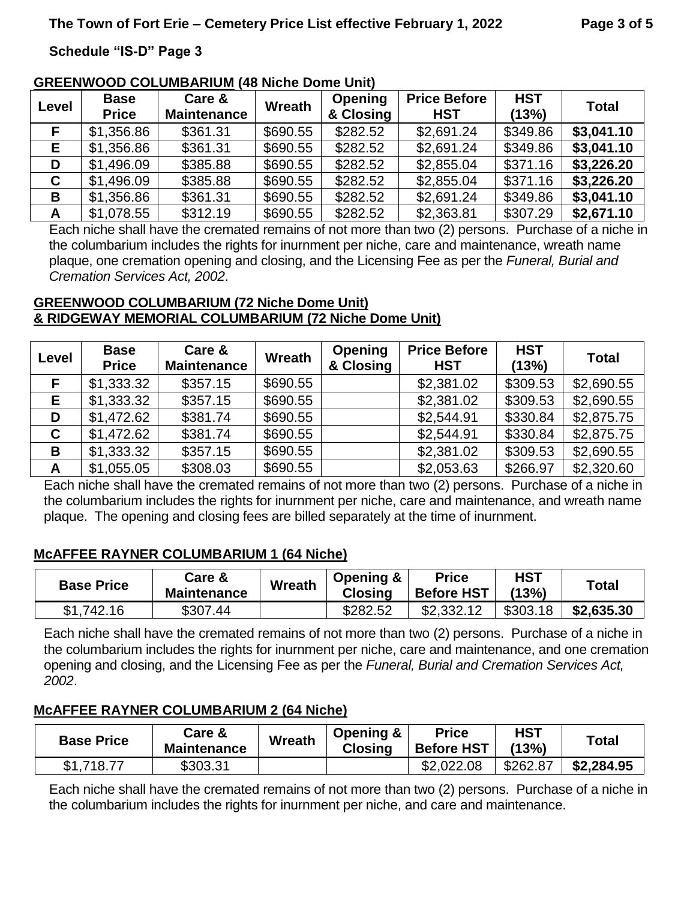#### **GREENWOOD COLUMBARIUM (48 Niche Dome Unit)**

| Level | <b>Base</b><br><b>Price</b> | Care &<br><b>Maintenance</b> | <b>Wreath</b> | <b>Opening</b><br>& Closing | <b>Price Before</b><br><b>HST</b> | <b>HST</b><br>(13%) | <b>Total</b> |
|-------|-----------------------------|------------------------------|---------------|-----------------------------|-----------------------------------|---------------------|--------------|
|       | \$1,356.86                  | \$361.31                     | \$690.55      | \$282.52                    | \$2,691.24                        | \$349.86            | \$3,041.10   |
| E.    | \$1,356.86                  | \$361.31                     | \$690.55      | \$282.52                    | \$2,691.24                        | \$349.86            | \$3,041.10   |
| D     | \$1,496.09                  | \$385.88                     | \$690.55      | \$282.52                    | \$2,855.04                        | \$371.16            | \$3,226.20   |
| C     | \$1,496.09                  | \$385.88                     | \$690.55      | \$282.52                    | \$2,855.04                        | \$371.16            | \$3,226.20   |
| B     | \$1,356.86                  | \$361.31                     | \$690.55      | \$282.52                    | \$2,691.24                        | \$349.86            | \$3,041.10   |
| A     | \$1,078.55                  | \$312.19                     | \$690.55      | \$282.52                    | \$2,363.81                        | \$307.29            | \$2,671.10   |

Each niche shall have the cremated remains of not more than two (2) persons. Purchase of a niche in the columbarium includes the rights for inurnment per niche, care and maintenance, wreath name plaque, one cremation opening and closing, and the Licensing Fee as per the *Funeral, Burial and Cremation Services Act, 2002*.

#### **GREENWOOD COLUMBARIUM (72 Niche Dome Unit) & RIDGEWAY MEMORIAL COLUMBARIUM (72 Niche Dome Unit)**

| Level       | <b>Base</b><br><b>Price</b> | Care &<br><b>Maintenance</b> | <b>Wreath</b> | <b>Opening</b><br>& Closing | <b>Price Before</b><br><b>HST</b> | <b>HST</b><br>(13%) | <b>Total</b> |
|-------------|-----------------------------|------------------------------|---------------|-----------------------------|-----------------------------------|---------------------|--------------|
|             | \$1,333.32                  | \$357.15                     | \$690.55      |                             | \$2,381.02                        | \$309.53            | \$2,690.55   |
| Е           | \$1,333.32                  | \$357.15                     | \$690.55      |                             | \$2,381.02                        | \$309.53            | \$2,690.55   |
| D           | \$1,472.62                  | \$381.74                     | \$690.55      |                             | \$2,544.91                        | \$330.84            | \$2,875.75   |
| $\mathbf c$ | \$1,472.62                  | \$381.74                     | \$690.55      |                             | \$2,544.91                        | \$330.84            | \$2,875.75   |
| B           | \$1,333.32                  | \$357.15                     | \$690.55      |                             | \$2,381.02                        | \$309.53            | \$2,690.55   |
| A           | \$1,055.05                  | \$308.03                     | \$690.55      |                             | \$2,053.63                        | \$266.97            | \$2,320.60   |

Each niche shall have the cremated remains of not more than two (2) persons. Purchase of a niche in the columbarium includes the rights for inurnment per niche, care and maintenance, and wreath name plaque. The opening and closing fees are billed separately at the time of inurnment.

#### **McAFFEE RAYNER COLUMBARIUM 1 (64 Niche)**

| <b>Base Price</b> | Care &<br><b>Maintenance</b> | <b>Wreath</b> | Opening &<br><b>Closing</b> | <b>Price</b><br><b>Before HST</b> | <b>HST</b><br>(13%) | $\tau$ otal |
|-------------------|------------------------------|---------------|-----------------------------|-----------------------------------|---------------------|-------------|
| \$1,742.16        | \$307.44                     |               | \$282.52                    | \$2,332.12                        | \$303.18            | \$2,635.30  |

Each niche shall have the cremated remains of not more than two (2) persons. Purchase of a niche in the columbarium includes the rights for inurnment per niche, care and maintenance, and one cremation opening and closing, and the Licensing Fee as per the *Funeral, Burial and Cremation Services Act, 2002*.

#### **McAFFEE RAYNER COLUMBARIUM 2 (64 Niche)**

| <b>Base Price</b> | Care &<br><b>Maintenance</b> | Wreath | Opening &<br><b>Closing</b> | <b>Price</b><br><b>Before HST</b> | <b>HST</b><br>(13%) | Total      |
|-------------------|------------------------------|--------|-----------------------------|-----------------------------------|---------------------|------------|
| \$1,718.77        | \$303.31                     |        |                             | \$2,022,08                        | \$262.87            | \$2,284.95 |

Each niche shall have the cremated remains of not more than two (2) persons. Purchase of a niche in the columbarium includes the rights for inurnment per niche, and care and maintenance.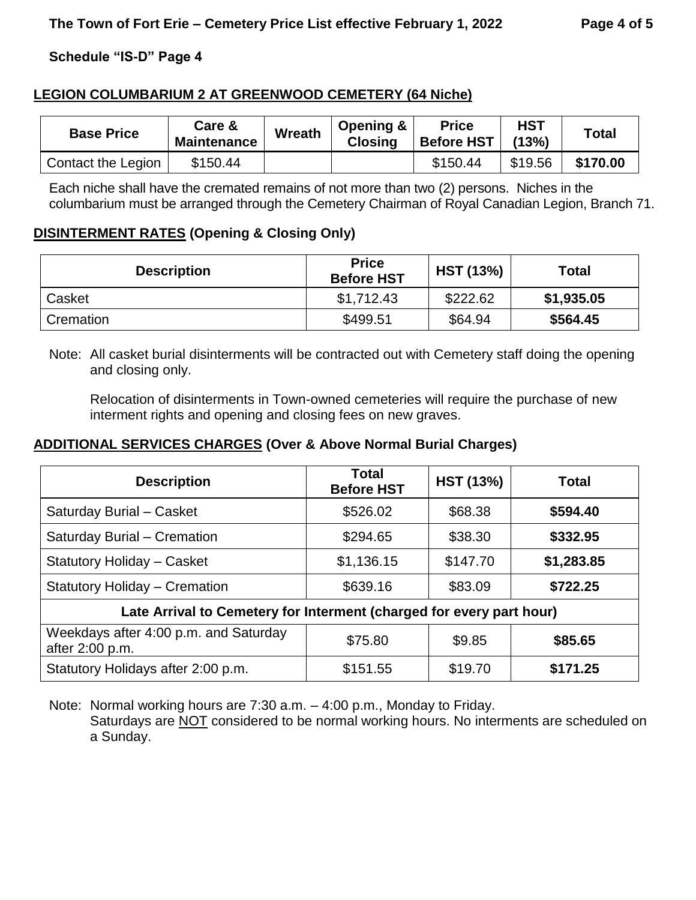#### **LEGION COLUMBARIUM 2 AT GREENWOOD CEMETERY (64 Niche)**

| <b>Base Price</b>  | <b>Care &amp;</b><br><b>Maintenance</b> | <b>Wreath</b> | Opening &<br><b>Closing</b> | <b>Price</b><br><b>Before HST</b> | <b>HST</b><br>(13%) | <b>Total</b> |
|--------------------|-----------------------------------------|---------------|-----------------------------|-----------------------------------|---------------------|--------------|
| Contact the Legion | \$150.44                                |               |                             | \$150.44                          | \$19.56             | \$170.00     |

Each niche shall have the cremated remains of not more than two (2) persons. Niches in the columbarium must be arranged through the Cemetery Chairman of Royal Canadian Legion, Branch 71.

#### **DISINTERMENT RATES (Opening & Closing Only)**

| <b>Description</b> | <b>Price</b><br><b>Before HST</b> | <b>HST (13%)</b> | <b>Total</b> |
|--------------------|-----------------------------------|------------------|--------------|
| Casket             | \$1,712.43                        | \$222.62         | \$1,935.05   |
| Cremation          | \$499.51                          | \$64.94          | \$564.45     |

Note: All casket burial disinterments will be contracted out with Cemetery staff doing the opening and closing only.

Relocation of disinterments in Town-owned cemeteries will require the purchase of new interment rights and opening and closing fees on new graves.

#### **ADDITIONAL SERVICES CHARGES (Over & Above Normal Burial Charges)**

| <b>Description</b>                                       | <b>Total</b><br><b>Before HST</b>                                    | <b>HST (13%)</b> | <b>Total</b> |  |  |  |  |  |
|----------------------------------------------------------|----------------------------------------------------------------------|------------------|--------------|--|--|--|--|--|
| Saturday Burial - Casket                                 | \$526.02                                                             | \$68.38          | \$594.40     |  |  |  |  |  |
| Saturday Burial - Cremation                              | \$294.65                                                             | \$38.30          | \$332.95     |  |  |  |  |  |
| <b>Statutory Holiday - Casket</b>                        | \$1,136.15                                                           | \$147.70         | \$1,283.85   |  |  |  |  |  |
| <b>Statutory Holiday – Cremation</b>                     | \$639.16                                                             | \$83.09          | \$722.25     |  |  |  |  |  |
|                                                          | Late Arrival to Cemetery for Interment (charged for every part hour) |                  |              |  |  |  |  |  |
| Weekdays after 4:00 p.m. and Saturday<br>after 2:00 p.m. | \$75.80                                                              | \$9.85           | \$85.65      |  |  |  |  |  |
| Statutory Holidays after 2:00 p.m.                       | \$151.55                                                             | \$19.70          | \$171.25     |  |  |  |  |  |

Note: Normal working hours are 7:30 a.m. – 4:00 p.m., Monday to Friday. Saturdays are NOT considered to be normal working hours. No interments are scheduled on a Sunday.